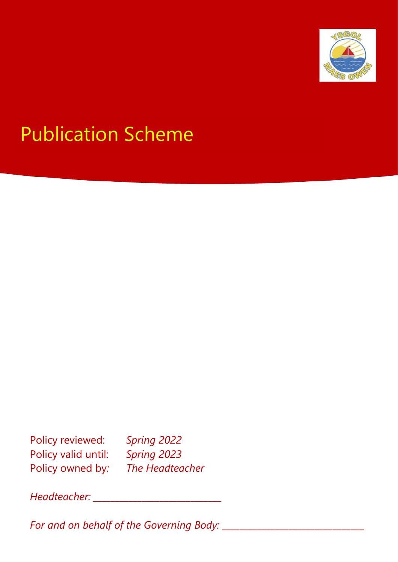

# Publication Scheme

Policy reviewed: *Spring 2022* Policy valid until: *Spring 2023* Policy owned by*: The Headteacher*

*Headteacher: \_\_\_\_\_\_\_\_\_\_\_\_\_\_\_\_\_\_\_\_\_\_\_\_\_\_\_\_\_*

*For and on behalf of the Governing Body: \_\_\_\_\_\_\_\_\_\_\_\_\_\_\_\_\_\_\_\_\_\_\_\_\_\_\_\_\_\_\_\_*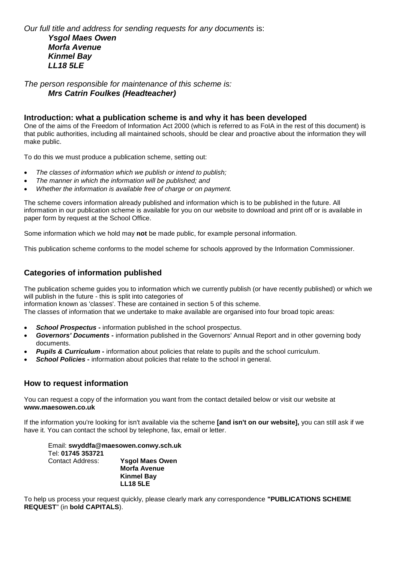## *Our full title and address for sending requests for any documents* is: *Ysgol Maes Owen Morfa Avenue Kinmel Bay LL18 5LE*

*The person responsible for maintenance of this scheme is: Mrs Catrin Foulkes (Headteacher)*

#### **Introduction: what a publication scheme is and why it has been developed**

One of the aims of the Freedom of Information Act 2000 (which is referred to as FoIA in the rest of this document) is that public authorities, including all maintained schools, should be clear and proactive about the information they will make public.

To do this we must produce a publication scheme, setting out:

- *The classes of information which we publish or intend to publish;*
- *The manner in which the information will be published; and*
- *Whether the information is available free of charge or on payment.*

The scheme covers information already published and information which is to be published in the future. All information in our publication scheme is available for you on our website to download and print off or is available in paper form by request at the School Office.

Some information which we hold may **not** be made public, for example personal information.

This publication scheme conforms to the model scheme for schools approved by the Information Commissioner.

## **Categories of information published**

The publication scheme guides you to information which we currently publish (or have recently published) or which we will publish in the future - this is split into categories of

information known as 'classes'. These are contained in section 5 of this scheme.

The classes of information that we undertake to make available are organised into four broad topic areas:

- **School Prospectus -** information published in the school prospectus.
- *Governors' Documents* **-** information published in the Governors' Annual Report and in other governing body documents.
- *Pupils & Curriculum* information about policies that relate to pupils and the school curriculum.
- **School Policies** information about policies that relate to the school in general.

### **How to request information**

You can request a copy of the information you want from the contact detailed below or visit our website at **www.maesowen.co.uk**

If the information you're looking for isn't available via the scheme **[and isn't on our website],** you can still ask if we have it. You can contact the school by telephone, fax, email or letter.

Email: **swyddfa@maesowen.conwy.sch.uk** Tel: **01745 353721** Contact Address: **Ysgol Maes Owen Morfa Avenue Kinmel Bay**

**LL18 5LE**

To help us process your request quickly, please clearly mark any correspondence **"PUBLICATIONS SCHEME REQUEST**" (in **bold CAPITALS**).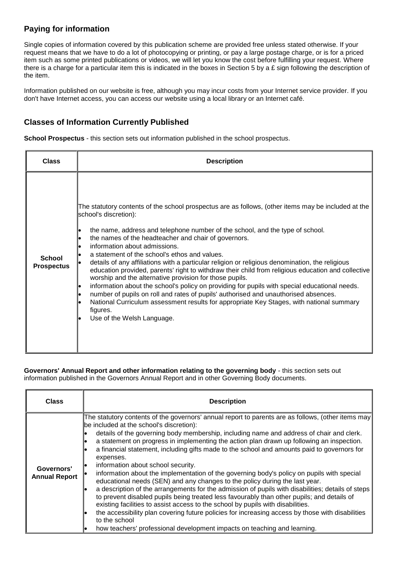# **Paying for information**

Single copies of information covered by this publication scheme are provided free unless stated otherwise. If your request means that we have to do a lot of photocopying or printing, or pay a large postage charge, or is for a priced item such as some printed publications or videos, we will let you know the cost before fulfilling your request. Where there is a charge for a particular item this is indicated in the boxes in Section 5 by a £ sign following the description of the item.

Information published on our website is free, although you may incur costs from your Internet service provider. If you don't have Internet access, you can access our website using a local library or an Internet café.

## **Classes of Information Currently Published**

**School Prospectus** - this section sets out information published in the school prospectus.

| <b>Class</b>                       | <b>Description</b>                                                                                                                                                                                                                                                                                                                                                                                                                                                                                                                                                                                                                                                                                                                                                                                                                                                                                                                                        |
|------------------------------------|-----------------------------------------------------------------------------------------------------------------------------------------------------------------------------------------------------------------------------------------------------------------------------------------------------------------------------------------------------------------------------------------------------------------------------------------------------------------------------------------------------------------------------------------------------------------------------------------------------------------------------------------------------------------------------------------------------------------------------------------------------------------------------------------------------------------------------------------------------------------------------------------------------------------------------------------------------------|
| <b>School</b><br><b>Prospectus</b> | The statutory contents of the school prospectus are as follows, (other items may be included at the<br>school's discretion):<br>the name, address and telephone number of the school, and the type of school.<br>the names of the headteacher and chair of governors.<br>information about admissions.<br>a statement of the school's ethos and values.<br>details of any affiliations with a particular religion or religious denomination, the religious<br>education provided, parents' right to withdraw their child from religious education and collective<br>worship and the alternative provision for those pupils.<br>information about the school's policy on providing for pupils with special educational needs.<br>number of pupils on roll and rates of pupils' authorised and unauthorised absences.<br>National Curriculum assessment results for appropriate Key Stages, with national summary<br>figures.<br>Use of the Welsh Language. |

**Governors' Annual Report and other information relating to the governing body** - this section sets out information published in the Governors Annual Report and in other Governing Body documents.

| <b>Class</b>                       | <b>Description</b>                                                                                                                                                                                                                                                                                                                                                                                                                                                                                                                                                                                                                                                                                                                                                                                                                                                                                                                                                                                                                                                                                                                                            |
|------------------------------------|---------------------------------------------------------------------------------------------------------------------------------------------------------------------------------------------------------------------------------------------------------------------------------------------------------------------------------------------------------------------------------------------------------------------------------------------------------------------------------------------------------------------------------------------------------------------------------------------------------------------------------------------------------------------------------------------------------------------------------------------------------------------------------------------------------------------------------------------------------------------------------------------------------------------------------------------------------------------------------------------------------------------------------------------------------------------------------------------------------------------------------------------------------------|
| Governors'<br><b>Annual Report</b> | The statutory contents of the governors' annual report to parents are as follows, (other items may<br>be included at the school's discretion):<br>details of the governing body membership, including name and address of chair and clerk.<br>a statement on progress in implementing the action plan drawn up following an inspection.<br>a financial statement, including gifts made to the school and amounts paid to governors for<br>expenses.<br>information about school security.<br>information about the implementation of the governing body's policy on pupils with special<br>educational needs (SEN) and any changes to the policy during the last year.<br>a description of the arrangements for the admission of pupils with disabilities; details of steps<br>to prevent disabled pupils being treated less favourably than other pupils; and details of<br>existing facilities to assist access to the school by pupils with disabilities.<br>the accessibility plan covering future policies for increasing access by those with disabilities<br>to the school<br>how teachers' professional development impacts on teaching and learning. |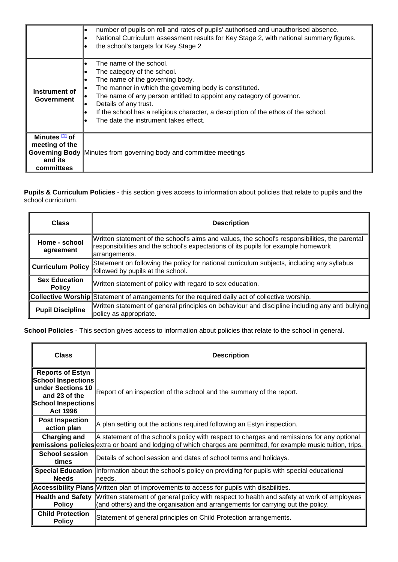|                                                                                    | number of pupils on roll and rates of pupils' authorised and unauthorised absence.<br>National Curriculum assessment results for Key Stage 2, with national summary figures.<br>the school's targets for Key Stage 2                                                                                                                                                                |
|------------------------------------------------------------------------------------|-------------------------------------------------------------------------------------------------------------------------------------------------------------------------------------------------------------------------------------------------------------------------------------------------------------------------------------------------------------------------------------|
| Instrument of<br><b>Government</b>                                                 | The name of the school.<br>The category of the school.<br>The name of the governing body.<br>The manner in which the governing body is constituted.<br>The name of any person entitled to appoint any category of governor.<br>Details of any trust.<br>If the school has a religious character, a description of the ethos of the school.<br>The date the instrument takes effect. |
| Minutes [1] of<br>meeting of the<br><b>Governing Body</b><br>and its<br>committees | Minutes from governing body and committee meetings                                                                                                                                                                                                                                                                                                                                  |

**Pupils & Curriculum Policies** - this section gives access to information about policies that relate to pupils and the school curriculum.

| <b>Class</b>                          | <b>Description</b>                                                                                                                                                                                   |
|---------------------------------------|------------------------------------------------------------------------------------------------------------------------------------------------------------------------------------------------------|
| Home - school<br>agreement            | Written statement of the school's aims and values, the school's responsibilities, the parental<br>responsibilities and the school's expectations of its pupils for example homework<br>arrangements. |
| <b>Curriculum Policy</b>              | Statement on following the policy for national curriculum subjects, including any syllabus<br>followed by pupils at the school.                                                                      |
| <b>Sex Education</b><br><b>Policy</b> | Written statement of policy with regard to sex education.                                                                                                                                            |
|                                       | <b>Collective Worship Statement of arrangements for the required daily act of collective worship.</b>                                                                                                |
| <b>Pupil Discipline</b>               | Written statement of general principles on behaviour and discipline including any anti bullying<br>policy as appropriate.                                                                            |

**School Policies** - This section gives access to information about policies that relate to the school in general.

| <b>Class</b>                                                                                                                 | <b>Description</b>                                                                                                                                                                                                    |
|------------------------------------------------------------------------------------------------------------------------------|-----------------------------------------------------------------------------------------------------------------------------------------------------------------------------------------------------------------------|
| <b>Reports of Estyn</b><br>School Inspections<br>under Sections 10<br>and 23 of the<br>School Inspections<br><b>Act 1996</b> | Report of an inspection of the school and the summary of the report.                                                                                                                                                  |
| <b>Post Inspection</b><br>action plan                                                                                        | A plan setting out the actions required following an Estyn inspection.                                                                                                                                                |
| Charging and                                                                                                                 | A statement of the school's policy with respect to charges and remissions for any optional<br><b>remissions policies</b> extra or board and lodging of which charges are permitted, for example music tuition, trips. |
| <b>School session</b><br>times                                                                                               | Details of school session and dates of school terms and holidays.                                                                                                                                                     |
| <b>Needs</b>                                                                                                                 | Special Education Information about the school's policy on providing for pupils with special educational<br>lneeds.                                                                                                   |
|                                                                                                                              | <b>Accessibility Plans</b> Written plan of improvements to access for pupils with disabilities.                                                                                                                       |
| <b>Health and Safety</b><br><b>Policy</b>                                                                                    | Written statement of general policy with respect to health and safety at work of employees<br>(and others) and the organisation and arrangements for carrying out the policy.                                         |
| <b>Child Protection</b><br><b>Policy</b>                                                                                     | Statement of general principles on Child Protection arrangements.                                                                                                                                                     |